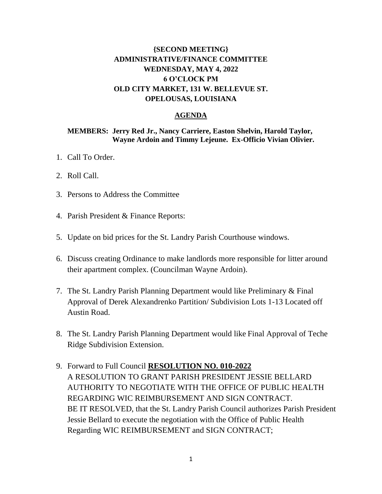### **{SECOND MEETING} ADMINISTRATIVE/FINANCE COMMITTEE WEDNESDAY, MAY 4, 2022 6 O'CLOCK PM OLD CITY MARKET, 131 W. BELLEVUE ST. OPELOUSAS, LOUISIANA**

### **AGENDA**

#### **MEMBERS: Jerry Red Jr., Nancy Carriere, Easton Shelvin, Harold Taylor, Wayne Ardoin and Timmy Lejeune. Ex-Officio Vivian Olivier.**

- 1. Call To Order.
- 2. Roll Call.
- 3. Persons to Address the Committee
- 4. Parish President & Finance Reports:
- 5. Update on bid prices for the St. Landry Parish Courthouse windows.
- 6. Discuss creating Ordinance to make landlords more responsible for litter around their apartment complex. (Councilman Wayne Ardoin).
- 7. The St. Landry Parish Planning Department would like Preliminary & Final Approval of Derek Alexandrenko Partition/ Subdivision Lots 1-13 Located off Austin Road.
- 8. The St. Landry Parish Planning Department would like Final Approval of Teche Ridge Subdivision Extension.
- 9. Forward to Full Council **RESOLUTION NO. 010-2022** A RESOLUTION TO GRANT PARISH PRESIDENT JESSIE BELLARD AUTHORITY TO NEGOTIATE WITH THE OFFICE OF PUBLIC HEALTH REGARDING WIC REIMBURSEMENT AND SIGN CONTRACT. BE IT RESOLVED, that the St. Landry Parish Council authorizes Parish President Jessie Bellard to execute the negotiation with the Office of Public Health Regarding WIC REIMBURSEMENT and SIGN CONTRACT;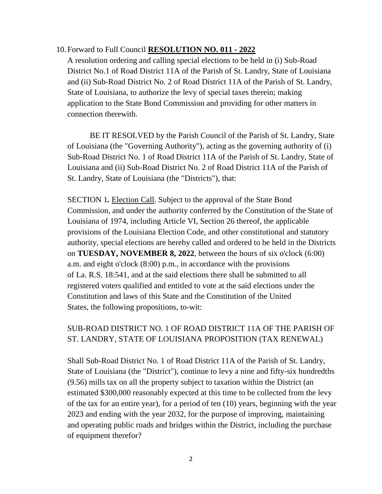10.Forward to Full Council **RESOLUTION NO. 011 - 2022**

A resolution ordering and calling special elections to be held in (i) Sub-Road District No.1 of Road District 11A of the Parish of St. Landry, State of Louisiana and (ii) Sub-Road District No. 2 of Road District 11A of the Parish of St. Landry, State of Louisiana, to authorize the levy of special taxes therein; making application to the State Bond Commission and providing for other matters in connection therewith.

BE IT RESOLVED by the Parish Council of the Parish of St. Landry, State of Louisiana (the "Governing Authority"), acting as the governing authority of (i) Sub-Road District No. 1 of Road District 11A of the Parish of St. Landry, State of Louisiana and (ii) Sub-Road District No. 2 of Road District 11A of the Parish of St. Landry, State of Louisiana (the "Districts"), that:

SECTION 1*.* Election Call. Subject to the approval of the State Bond Commission, and under the authority conferred by the Constitution of the State of Louisiana of 1974, including Article VI, Section 26 thereof, the applicable provisions of the Louisiana Election Code, and other constitutional and statutory authority, special elections are hereby called and ordered to be held in the Districts on **TUESDAY, NOVEMBER 8, 2022**, between the hours of six o'clock (6:00) a.m. and eight o'clock (8:00) p.m., in accordance with the provisions of La. R.S. 18:541, and at the said elections there shall be submitted to all registered voters qualified and entitled to vote at the said elections under the Constitution and laws of this State and the Constitution of the United States, the following propositions, to-wit:

# SUB-ROAD DISTRICT NO. 1 OF ROAD DISTRICT 11A OF THE PARISH OF ST. LANDRY, STATE OF LOUISIANA PROPOSITION (TAX RENEWAL)

Shall Sub-Road District No. 1 of Road District 11A of the Parish of St. Landry, State of Louisiana (the "District"), continue to levy a nine and fifty-six hundredths (9.56) mills tax on all the property subject to taxation within the District (an estimated \$300,000 reasonably expected at this time to be collected from the levy of the tax for an entire year), for a period of ten (10) years, beginning with the year 2023 and ending with the year 2032, for the purpose of improving, maintaining and operating public roads and bridges within the District, including the purchase of equipment therefor?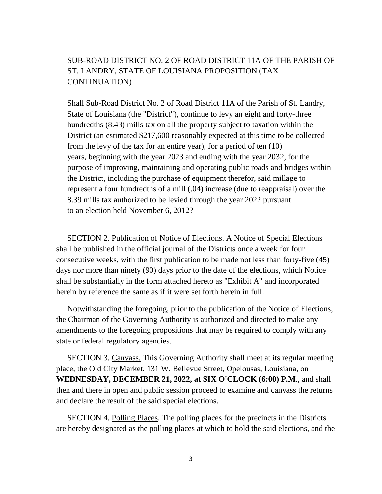## SUB-ROAD DISTRICT NO. 2 OF ROAD DISTRICT 11A OF THE PARISH OF ST. LANDRY, STATE OF LOUISIANA PROPOSITION (TAX CONTINUATION)

Shall Sub-Road District No. 2 of Road District 11A of the Parish of St. Landry, State of Louisiana (the "District"), continue to levy an eight and forty-three hundredths (8.43) mills tax on all the property subject to taxation within the District (an estimated \$217,600 reasonably expected at this time to be collected from the levy of the tax for an entire year), for a period of ten (10) years, beginning with the year 2023 and ending with the year 2032, for the purpose of improving, maintaining and operating public roads and bridges within the District, including the purchase of equipment therefor, said millage to represent a four hundredths of a mill (.04) increase (due to reappraisal) over the 8.39 mills tax authorized to be levied through the year 2022 pursuant to an election held November 6, 2012?

SECTION 2. Publication of Notice of Elections. A Notice of Special Elections shall be published in the official journal of the Districts once a week for four consecutive weeks, with the first publication to be made not less than forty-five (45) days nor more than ninety (90) days prior to the date of the elections, which Notice shall be substantially in the form attached hereto as "Exhibit A" and incorporated herein by reference the same as if it were set forth herein in full.

Notwithstanding the foregoing, prior to the publication of the Notice of Elections, the Chairman of the Governing Authority is authorized and directed to make any amendments to the foregoing propositions that may be required to comply with any state or federal regulatory agencies.

SECTION 3. Canvass. This Governing Authority shall meet at its regular meeting place, the Old City Market, 131 W. Bellevue Street, Opelousas, Louisiana, on **WEDNESDAY, DECEMBER 21, 2022, at SIX O'CLOCK (6:00) P.M**., and shall then and there in open and public session proceed to examine and canvass the returns and declare the result of the said special elections.

SECTION 4. Polling Places. The polling places for the precincts in the Districts are hereby designated as the polling places at which to hold the said elections, and the